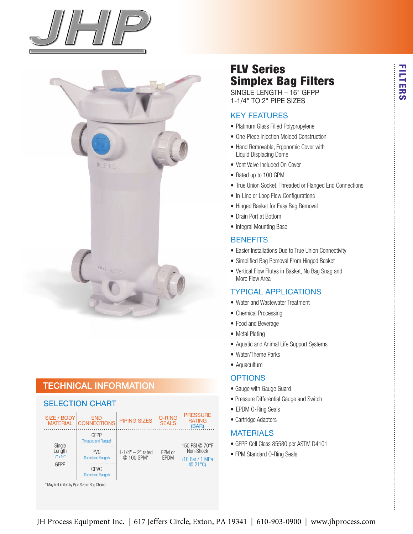



### technical information

#### seLection chart



# FLV Series Simplex Bag Filters

singLe Length – 16" gFPP 1-1/4" to 2" PiPe sizes

### Key Features

- Platinum Glass Filled Polypropylene
- One-Piece Injection Molded Construction
- Hand Removable, Ergonomic Cover with Liquid Displacing Dome
- Vent Valve Included On Cover
- Rated up to 100 GPM
- True Union Socket, Threaded or Flanged End Connections
- In-Line or Loop Flow Configurations
- Hinged Basket for Easy Bag Removal
- Drain Port at Bottom
- Integral Mounting Base

#### **BENEFITS**

- Easier Installations Due to True Union Connectivity
- Simplified Bag Removal From Hinged Basket
- Vertical Flow Flutes in Basket, No Bag Snag and More Flow Area

#### tyPicaL aPPLications

- Water and Wastewater Treatment
- Chemical Processing
- Food and Beverage
- Metal Plating
- Aquatic and Animal Life Support Systems
- Water/Theme Parks
- Aquaculture

#### **OPTIONS**

- Gauge with Gauge Guard
- Pressure Differential Gauge and Switch
- EPDM O-Ring Seals
- Cartridge Adapters

#### **MATERIALS**

- GFPP Cell Class 85580 per ASTM D4101
- FPM Standard O-Ring Seals